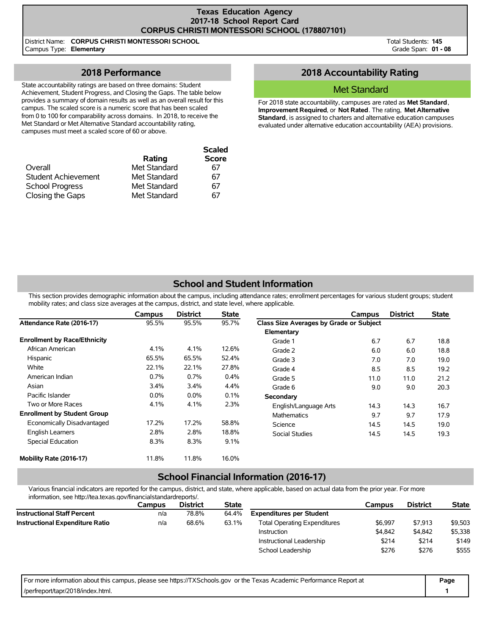### **Texas Education Agency 2017-18 School Report Card CORPUS CHRISTI MONTESSORI SCHOOL (178807101)**

District Name: **CORPUS CHRISTI MONTESSORI SCHOOL** Campus Type: **Elementary**

Total Students: **145** Grade Span: **01 - 08**

## **2018 Performance**

State accountability ratings are based on three domains: Student Achievement, Student Progress, and Closing the Gaps. The table below provides a summary of domain results as well as an overall result for this campus. The scaled score is a numeric score that has been scaled from 0 to 100 for comparability across domains. In 2018, to receive the Met Standard or Met Alternative Standard accountability rating, campuses must meet a scaled score of 60 or above.

| Overall                | Rating<br>Met Standard | <b>Scaled</b><br><b>Score</b><br>67 |
|------------------------|------------------------|-------------------------------------|
| Student Achievement    | Met Standard           | 67                                  |
| <b>School Progress</b> | Met Standard           | 67                                  |
| Closing the Gaps       | Met Standard           | 67                                  |

## **2018 Accountability Rating**

## Met Standard

For 2018 state accountability, campuses are rated as **Met Standard**, **Improvement Required**, or **Not Rated**. The rating, **Met Alternative Standard**, is assigned to charters and alternative education campuses evaluated under alternative education accountability (AEA) provisions.

# **School and Student Information**

This section provides demographic information about the campus, including attendance rates; enrollment percentages for various student groups; student mobility rates; and class size averages at the campus, district, and state level, where applicable.

|                                     | Campus  | <b>District</b> | <b>State</b> |                                         | Campus | <b>District</b> | <b>State</b> |
|-------------------------------------|---------|-----------------|--------------|-----------------------------------------|--------|-----------------|--------------|
| Attendance Rate (2016-17)           | 95.5%   | 95.5%           | 95.7%        | Class Size Averages by Grade or Subject |        |                 |              |
|                                     |         |                 |              | Elementary                              |        |                 |              |
| <b>Enrollment by Race/Ethnicity</b> |         |                 |              | Grade 1                                 | 6.7    | 6.7             | 18.8         |
| African American                    | 4.1%    | 4.1%            | 12.6%        | Grade 2                                 | 6.0    | 6.0             | 18.8         |
| Hispanic                            | 65.5%   | 65.5%           | 52.4%        | Grade 3                                 | 7.0    | 7.0             | 19.0         |
| White                               | 22.1%   | 22.1%           | 27.8%        | Grade 4                                 | 8.5    | 8.5             | 19.2         |
| American Indian                     | 0.7%    | 0.7%            | $0.4\%$      | Grade 5                                 | 11.0   | 11.0            | 21.2         |
| Asian                               | $3.4\%$ | 3.4%            | 4.4%         | Grade 6                                 | 9.0    | 9.0             | 20.3         |
| Pacific Islander                    | $0.0\%$ | $0.0\%$         | 0.1%         | Secondary                               |        |                 |              |
| Two or More Races                   | 4.1%    | 4.1%            | 2.3%         | English/Language Arts                   | 14.3   | 14.3            | 16.7         |
| <b>Enrollment by Student Group</b>  |         |                 |              | <b>Mathematics</b>                      | 9.7    | 9.7             | 17.9         |
| Economically Disadvantaged          | 17.2%   | 17.2%           | 58.8%        | Science                                 | 14.5   | 14.5            | 19.0         |
| <b>English Learners</b>             | 2.8%    | 2.8%            | 18.8%        | Social Studies                          | 14.5   | 14.5            | 19.3         |
| Special Education                   | 8.3%    | 8.3%            | 9.1%         |                                         |        |                 |              |
| Mobility Rate (2016-17)             | 11.8%   | 11.8%           | 16.0%        |                                         |        |                 |              |

### **School Financial Information (2016-17)**

Various financial indicators are reported for the campus, district, and state, where applicable, based on actual data from the prior year. For more information, see http://tea.texas.gov/financialstandardreports/.

|                                        | Campus | <b>District</b> | <b>State</b> |                                     | Campus  | <b>District</b> | <b>State</b> |
|----------------------------------------|--------|-----------------|--------------|-------------------------------------|---------|-----------------|--------------|
| <b>Instructional Staff Percent</b>     | n/a    | 78.8%           | 64.4%        | <b>Expenditures per Student</b>     |         |                 |              |
| <b>Instructional Expenditure Ratio</b> | n/a    | 68.6%           | 63.1%        | <b>Total Operating Expenditures</b> | \$6.997 | \$7.913         | \$9,503      |
|                                        |        |                 |              | Instruction                         | \$4,842 | \$4,842         | \$5,338      |
|                                        |        |                 |              | Instructional Leadership            | \$214   | \$214           | \$149        |
|                                        |        |                 |              | School Leadership                   | \$276   | \$276           | \$555        |

| For more information about this campus, please see https://TXSchools.gov or the Texas Academic Performance Report at | Page |
|----------------------------------------------------------------------------------------------------------------------|------|
| //perfreport/tapr/2018/index.html.                                                                                   |      |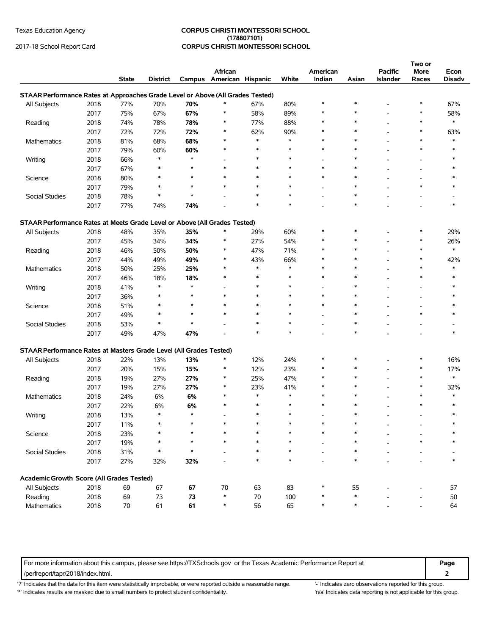### Texas Education Agency **CORPUS CHRISTI MONTESSORI SCHOOL (178807101)** 2017-18 School Report Card **CORPUS CHRISTI MONTESSORI SCHOOL**

|                                                                                |      |              |                 |         | African                  |        |        | American |              | <b>Pacific</b>           | Two or<br><b>More</b>    | Econ          |
|--------------------------------------------------------------------------------|------|--------------|-----------------|---------|--------------------------|--------|--------|----------|--------------|--------------------------|--------------------------|---------------|
|                                                                                |      | <b>State</b> | <b>District</b> |         | Campus American Hispanic |        | White  | Indian   | Asian        | <b>Islander</b>          | Races                    | <b>Disadv</b> |
| STAAR Performance Rates at Approaches Grade Level or Above (All Grades Tested) |      |              |                 |         |                          |        |        |          |              |                          |                          |               |
| All Subjects                                                                   | 2018 | 77%          | 70%             | 70%     | $\ast$                   | 67%    | 80%    | $\ast$   | $\ast$       |                          | $\ast$                   | 67%           |
|                                                                                | 2017 | 75%          | 67%             | 67%     | $\ast$                   | 58%    | 89%    | $\ast$   | $\ast$       |                          | ∗                        | 58%           |
| Reading                                                                        | 2018 | 74%          | 78%             | 78%     | $\ast$                   | 77%    | 88%    | $\ast$   | *            | $\overline{a}$           | $\ast$                   | $\ast$        |
|                                                                                | 2017 | 72%          | 72%             | 72%     | *                        | 62%    | 90%    | ∗        | *            |                          | ∗                        | 63%           |
| Mathematics                                                                    | 2018 | 81%          | 68%             | 68%     | $\ast$                   | $\ast$ | $\ast$ | $\ast$   | $\ast$       |                          | $\ast$                   | $\ast$        |
|                                                                                | 2017 | 79%          | 60%             | 60%     | $\ast$                   | $\ast$ | $\ast$ | ∗        | *            |                          | ∗                        | ∗             |
| Writing                                                                        | 2018 | 66%          | $\ast$          | $\star$ | $\overline{\phantom{a}}$ | $\ast$ | $\ast$ |          | *            |                          | $\overline{\phantom{a}}$ |               |
|                                                                                | 2017 | 67%          | $\ast$          | $\star$ | $\ast$                   | $\ast$ | $\ast$ | $\ast$   | $\ast$       |                          |                          |               |
|                                                                                | 2018 | 80%          | *               | $\ast$  | $\ast$                   | $\ast$ | $\ast$ | $\ast$   | $\ast$       |                          |                          |               |
| Science                                                                        |      |              | $\ast$          | $\star$ | $\ast$                   | $\ast$ | $\ast$ |          | $\ast$       |                          | $\ast$                   | ∗             |
|                                                                                | 2017 | 79%          | $\ast$          | $\star$ |                          | $\ast$ | $\ast$ |          | $\ast$       |                          |                          |               |
| Social Studies                                                                 | 2018 | 78%          |                 |         |                          | $\ast$ | $\ast$ |          | $\ast$       |                          |                          | $\ast$        |
|                                                                                | 2017 | 77%          | 74%             | 74%     |                          |        |        |          |              |                          |                          |               |
| STAAR Performance Rates at Meets Grade Level or Above (All Grades Tested)      |      |              |                 |         |                          |        |        |          |              |                          |                          |               |
| All Subjects                                                                   | 2018 | 48%          | 35%             | 35%     | *                        | 29%    | 60%    | $\ast$   | *            |                          | $\ast$                   | 29%           |
|                                                                                | 2017 | 45%          | 34%             | 34%     | *                        | 27%    | 54%    |          | $\ast$       | ٠                        | $\ast$                   | 26%           |
| Reading                                                                        | 2018 | 46%          | 50%             | 50%     | *                        | 47%    | 71%    |          | $\ast$       |                          | $\ast$                   | $\ast$        |
|                                                                                | 2017 | 44%          | 49%             | 49%     | $\ast$                   | 43%    | 66%    |          | $\ast$       |                          | $\ast$                   | 42%           |
| Mathematics                                                                    | 2018 | 50%          | 25%             | 25%     | $\ast$                   | $\ast$ | $\ast$ | $\ast$   | $\ast$       |                          | $\ast$                   | $\ast$        |
|                                                                                | 2017 | 46%          | 18%             | 18%     | $\ast$                   | $\ast$ | $\ast$ | $\ast$   | $\ast$       |                          | $\ast$                   | $\ast$        |
| Writing                                                                        | 2018 | 41%          | $\ast$          | $\ast$  |                          | $\ast$ | $\ast$ |          | *            |                          |                          | ∗             |
|                                                                                | 2017 | 36%          | $\ast$          | $\ast$  | $\ast$                   | $\ast$ | $\ast$ | $\ast$   | $\ast$       |                          |                          | ∗             |
| Science                                                                        | 2018 | 51%          | $\ast$          | $\star$ | $\ast$                   | $\ast$ | $\ast$ | $\ast$   | $\ast$       |                          |                          |               |
|                                                                                | 2017 | 49%          | $\ast$          | $\star$ | $\ast$                   | $\ast$ | $\ast$ |          | *            |                          | $\ast$                   | ∗             |
| Social Studies                                                                 | 2018 | 53%          | $\ast$          | $\star$ |                          | $\ast$ | ∗      |          | $\ast$       |                          |                          |               |
|                                                                                | 2017 | 49%          | 47%             | 47%     |                          | $\ast$ | $\ast$ |          | $\ast$       |                          |                          | $\ast$        |
|                                                                                |      |              |                 |         |                          |        |        |          |              |                          |                          |               |
| STAAR Performance Rates at Masters Grade Level (All Grades Tested)             |      |              |                 |         |                          |        |        |          |              |                          |                          |               |
| All Subjects                                                                   | 2018 | 22%          | 13%             | 13%     | $\ast$                   | 12%    | 24%    | $\ast$   | *            |                          | $\ast$                   | 16%           |
|                                                                                | 2017 | 20%          | 15%             | 15%     | *                        | 12%    | 23%    | ∗        | $\ast$       | $\overline{\phantom{a}}$ | $\ast$                   | 17%           |
| Reading                                                                        | 2018 | 19%          | 27%             | 27%     | $\ast$                   | 25%    | 47%    | $\ast$   | $\ast$       | $\overline{a}$           | $\ast$                   | $\ast$        |
|                                                                                | 2017 | 19%          | 27%             | 27%     | $\ast$                   | 23%    | 41%    |          | $\ast$       | $\overline{a}$           | $\ast$                   | 32%           |
| Mathematics                                                                    | 2018 | 24%          | 6%              | 6%      | $\ast$                   | $\ast$ | $\ast$ | $\ast$   | $\ast$       |                          | $\ast$                   | *             |
|                                                                                | 2017 | 22%          | 6%              | 6%      | $\ast$                   | $\ast$ | $\ast$ | $\ast$   | $\ast$       |                          | $\ast$                   | $\ast$        |
| Writing                                                                        | 2018 | 13%          | $\ast$          | $\star$ |                          | $\ast$ | $\ast$ |          | $\ast$       |                          |                          | ∗             |
|                                                                                | 2017 | 11%          | ∗               |         |                          | ∗      |        |          |              |                          |                          |               |
| Science                                                                        | 2018 | 23%          |                 |         |                          |        | $\ast$ |          |              |                          |                          |               |
|                                                                                | 2017 | 19%          |                 |         |                          |        | $\ast$ |          |              |                          |                          |               |
| Social Studies                                                                 | 2018 | 31%          | $\ast$          | $\star$ |                          | $\ast$ | $\ast$ |          | *            |                          |                          |               |
|                                                                                | 2017 | 27%          | 32%             | 32%     |                          | $\ast$ | $\ast$ |          | $\ast$       |                          |                          | $\ast$        |
|                                                                                |      |              |                 |         |                          |        |        |          |              |                          |                          |               |
| Academic Growth Score (All Grades Tested)                                      |      |              |                 |         |                          |        |        |          |              |                          |                          |               |
| All Subjects                                                                   | 2018 | 69           | 67              | 67      | 70                       | 63     | 83     |          | 55<br>$\ast$ |                          |                          | 57            |
| Reading                                                                        | 2018 | 69           | 73              | 73      | $\ast$                   | 70     | 100    |          |              |                          |                          | 50            |
| Mathematics                                                                    | 2018 | 70           | 61              | 61      | *                        | 56     | 65     | ∗        | $\ast$       |                          |                          | 64            |

For more information about this campus, please see https://TXSchools.gov or the Texas Academic Performance Report at **Page**

/perfreport/tapr/2018/index.html. **2**

'?' Indicates that the data for this item were statistically improbable, or were reported outside a reasonable range. '' Indicates zero observations reported for this group. '\*' Indicates results are masked due to small numbers to protect student confidentiality. Moreover, the this invall numbers to protect student confidentiality.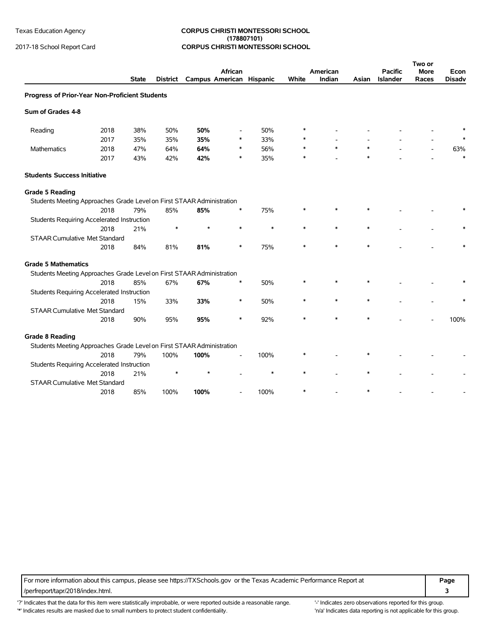### Texas Education Agency **CORPUS CHRISTI MONTESSORI SCHOOL (178807101)** 2017-18 School Report Card **CORPUS CHRISTI MONTESSORI SCHOOL**

|                                                                       |      | <b>State</b> | <b>District</b> |      | African<br>Campus American Hispanic |        | White  | American<br>Indian | Asian  | <b>Pacific</b><br><b>Islander</b> | Two or<br><b>More</b><br>Races | Econ<br><b>Disadv</b> |
|-----------------------------------------------------------------------|------|--------------|-----------------|------|-------------------------------------|--------|--------|--------------------|--------|-----------------------------------|--------------------------------|-----------------------|
|                                                                       |      |              |                 |      |                                     |        |        |                    |        |                                   |                                |                       |
| Progress of Prior-Year Non-Proficient Students                        |      |              |                 |      |                                     |        |        |                    |        |                                   |                                |                       |
| Sum of Grades 4-8                                                     |      |              |                 |      |                                     |        |        |                    |        |                                   |                                |                       |
| Reading                                                               | 2018 | 38%          | 50%             | 50%  |                                     | 50%    | $\ast$ |                    |        |                                   |                                |                       |
|                                                                       | 2017 | 35%          | 35%             | 35%  |                                     | 33%    | *      |                    |        |                                   |                                |                       |
| Mathematics                                                           | 2018 | 47%          | 64%             | 64%  |                                     | 56%    | $\ast$ | $\ast$             | $\ast$ |                                   |                                | 63%                   |
|                                                                       | 2017 | 43%          | 42%             | 42%  | ∗                                   | 35%    | $\ast$ |                    | $\ast$ |                                   |                                | $\ast$                |
| <b>Students Success Initiative</b>                                    |      |              |                 |      |                                     |        |        |                    |        |                                   |                                |                       |
| <b>Grade 5 Reading</b>                                                |      |              |                 |      |                                     |        |        |                    |        |                                   |                                |                       |
| Students Meeting Approaches Grade Level on First STAAR Administration |      |              |                 |      |                                     |        |        |                    |        |                                   |                                |                       |
|                                                                       | 2018 | 79%          | 85%             | 85%  |                                     | 75%    |        |                    |        |                                   |                                |                       |
| Students Requiring Accelerated Instruction                            |      |              |                 |      |                                     |        |        |                    |        |                                   |                                |                       |
|                                                                       | 2018 | 21%          | $\ast$          | ÷    | $\ast$                              | $\ast$ | $\ast$ | $\ast$             | $\ast$ |                                   |                                |                       |
| <b>STAAR Cumulative Met Standard</b>                                  |      |              |                 |      |                                     |        |        |                    |        |                                   |                                |                       |
|                                                                       | 2018 | 84%          | 81%             | 81%  |                                     | 75%    |        |                    |        |                                   |                                |                       |
| <b>Grade 5 Mathematics</b>                                            |      |              |                 |      |                                     |        |        |                    |        |                                   |                                |                       |
| Students Meeting Approaches Grade Level on First STAAR Administration |      |              |                 |      |                                     |        |        |                    |        |                                   |                                |                       |
|                                                                       | 2018 | 85%          | 67%             | 67%  | $\ast$                              | 50%    |        | $\ast$             |        |                                   |                                |                       |
| <b>Students Requiring Accelerated Instruction</b>                     |      |              |                 |      |                                     |        |        |                    |        |                                   |                                |                       |
|                                                                       | 2018 | 15%          | 33%             | 33%  | *                                   | 50%    |        | $\ast$             | $\ast$ |                                   |                                |                       |
| <b>STAAR Cumulative Met Standard</b>                                  |      |              |                 |      |                                     |        |        |                    |        |                                   |                                |                       |
|                                                                       | 2018 | 90%          | 95%             | 95%  | $\ast$                              | 92%    |        | $\ast$             |        |                                   |                                | 100%                  |
| <b>Grade 8 Reading</b>                                                |      |              |                 |      |                                     |        |        |                    |        |                                   |                                |                       |
| Students Meeting Approaches Grade Level on First STAAR Administration |      |              |                 |      |                                     |        |        |                    |        |                                   |                                |                       |
|                                                                       | 2018 | 79%          | 100%            | 100% |                                     | 100%   |        |                    |        |                                   |                                |                       |
| Students Requiring Accelerated Instruction                            |      |              |                 |      |                                     |        |        |                    |        |                                   |                                |                       |
|                                                                       | 2018 | 21%          | $\ast$          |      |                                     | *      | $\ast$ |                    | $\ast$ |                                   |                                |                       |
| <b>STAAR Cumulative Met Standard</b>                                  |      |              |                 |      |                                     |        |        |                    |        |                                   |                                |                       |
|                                                                       | 2018 | 85%          | 100%            | 100% |                                     | 100%   |        |                    |        |                                   |                                |                       |

For more information about this campus, please see https://TXSchools.gov or the Texas Academic Performance Report at **Page** /perfreport/tapr/2018/index.html. **3**

'?' Indicates that the data for this item were statistically improbable, or were reported outside a reasonable range. "Indicates zero observations reported for this group. '\*' Indicates results are masked due to small numbers to protect student confidentiality. Moreover, the this group in/a' Indicates data reporting is not applicable for this group.